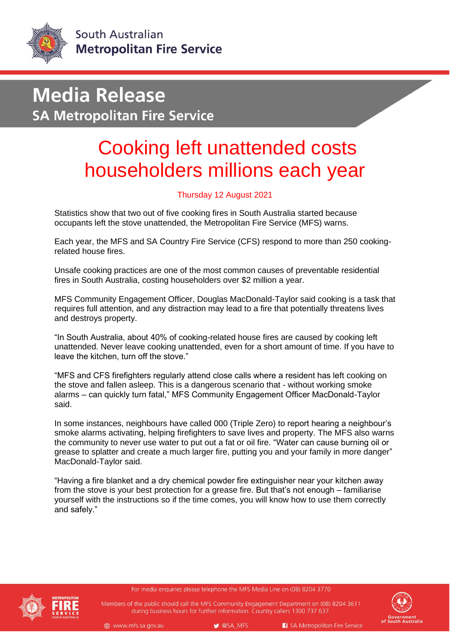

## **Media Release SA Metropolitan Fire Service**

## Cooking left unattended costs householders millions each year

## Thursday 12 August 2021

Statistics show that two out of five cooking fires in South Australia started because occupants left the stove unattended, the Metropolitan Fire Service (MFS) warns.

Each year, the MFS and SA Country Fire Service (CFS) respond to more than 250 cookingrelated house fires.

Unsafe cooking practices are one of the most common causes of preventable residential fires in South Australia, costing householders over \$2 million a year.

MFS Community Engagement Officer, Douglas MacDonald-Taylor said cooking is a task that requires full attention, and any distraction may lead to a fire that potentially threatens lives and destroys property.

"In South Australia, about 40% of cooking-related house fires are caused by cooking left unattended. Never leave cooking unattended, even for a short amount of time. If you have to leave the kitchen, turn off the stove."

"MFS and CFS firefighters regularly attend close calls where a resident has left cooking on the stove and fallen asleep. This is a dangerous scenario that - without working smoke alarms – can quickly turn fatal," MFS Community Engagement Officer MacDonald-Taylor said.

In some instances, neighbours have called 000 (Triple Zero) to report hearing a neighbour's smoke alarms activating, helping firefighters to save lives and property. The MFS also warns the community to never use water to put out a fat or oil fire. "Water can cause burning oil or grease to splatter and create a much larger fire, putting you and your family in more danger" MacDonald-Taylor said.

"Having a fire blanket and a dry chemical powder fire extinguisher near your kitchen away from the stove is your best protection for a grease fire. But that's not enough – familiarise yourself with the instructions so if the time comes, you will know how to use them correctly and safely."

For media enquiries please telephone the MFS Media Line on (08) 8204 3770



Members of the public should call the MFS Community Engagement Department on (08) 8204 3611 during business hours for further information. Country callers 1300 737 637.